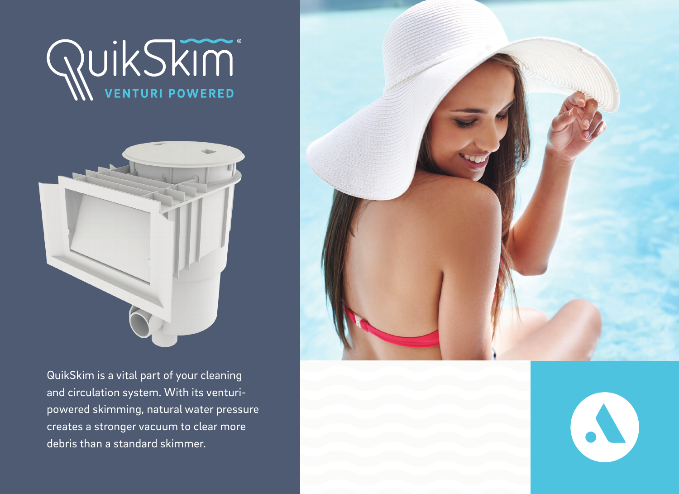



QuikSkim is a vital part of your cleaning and circulation system. With its venturipowered skimming, natural water pressure creates a stronger vacuum to clear more debris than a standard skimmer.



N